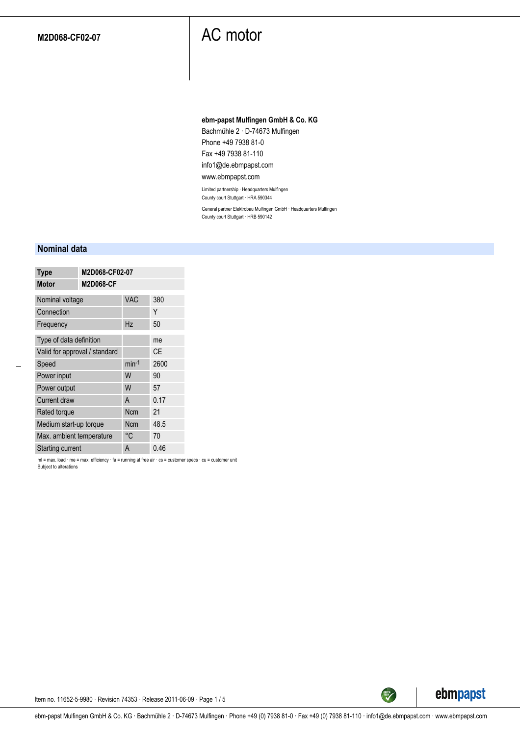#### **ebm-papst Mulfingen GmbH & Co. KG**

Bachmühle 2 · D-74673 Mulfingen Phone +49 7938 81-0 Fax +49 7938 81-110 info1@de.ebmpapst.com

www.ebmpapst.com

Limited partnership · Headquarters Mulfingen

County court Stuttgart · HRA 590344

General partner Elektrobau Mulfingen GmbH · Headquarters Mulfingen County court Stuttgart · HRB 590142

#### **Nominal data**

| <b>Type</b>                   | M2D068-CF02-07   |            |           |  |
|-------------------------------|------------------|------------|-----------|--|
| <b>Motor</b>                  | <b>M2D068-CF</b> |            |           |  |
| Nominal voltage               |                  | <b>VAC</b> | 380       |  |
| Connection                    |                  |            | Υ         |  |
| Frequency                     |                  | Hz         | 50        |  |
| Type of data definition       |                  | me         |           |  |
| Valid for approval / standard |                  |            | <b>CE</b> |  |
| Speed                         | $min-1$          | 2600       |           |  |
| Power input                   |                  | W          | 90        |  |
| Power output                  | W                | 57         |           |  |
| Current draw                  | A                | 0.17       |           |  |
| Rated torque                  | Ncm              | 21         |           |  |
| Medium start-up torque        | <b>Ncm</b>       | 48.5       |           |  |
| Max. ambient temperature      | °C               | 70         |           |  |
| <b>Starting current</b>       | A                | 0.46       |           |  |

ml = max. load · me = max. efficiency · fa = running at free air · cs = customer specs · cu = customer unit Subject to alterations



TECH

Item no. 11652-5-9980 · Revision 74353 · Release 2011-06-09 · Page 1 / 5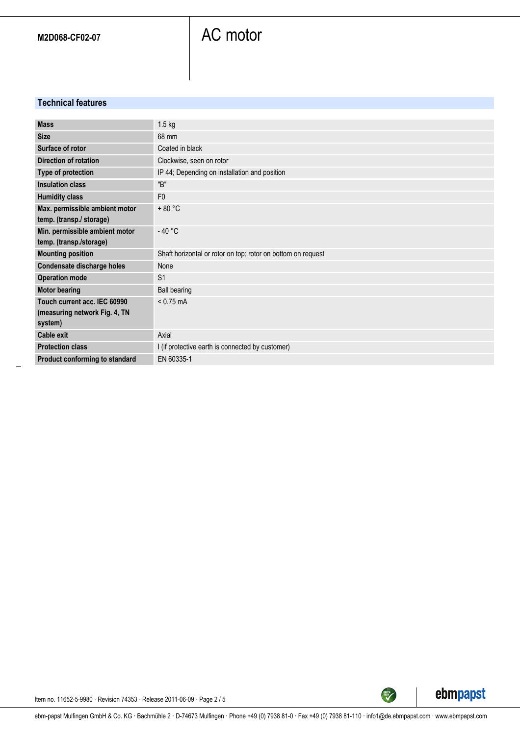### **Technical features**

| <b>Mass</b>                    | $1.5$ kg                                                     |
|--------------------------------|--------------------------------------------------------------|
|                                |                                                              |
| <b>Size</b>                    | 68 mm                                                        |
| Surface of rotor               | Coated in black                                              |
| <b>Direction of rotation</b>   | Clockwise, seen on rotor                                     |
| Type of protection             | IP 44; Depending on installation and position                |
| <b>Insulation class</b>        | "B"                                                          |
| <b>Humidity class</b>          | F <sub>0</sub>                                               |
| Max. permissible ambient motor | $+80 °C$                                                     |
| temp. (transp./ storage)       |                                                              |
| Min. permissible ambient motor | $-40 °C$                                                     |
| temp. (transp./storage)        |                                                              |
| <b>Mounting position</b>       | Shaft horizontal or rotor on top; rotor on bottom on request |
| Condensate discharge holes     | None                                                         |
| <b>Operation mode</b>          | S <sub>1</sub>                                               |
| <b>Motor bearing</b>           | <b>Ball bearing</b>                                          |
| Touch current acc. IEC 60990   | $< 0.75$ mA                                                  |
| (measuring network Fig. 4, TN  |                                                              |
| system)                        |                                                              |
| <b>Cable exit</b>              | Axial                                                        |
| <b>Protection class</b>        | I (if protective earth is connected by customer)             |
| Product conforming to standard | EN 60335-1                                                   |



TECH

Item no. 11652-5-9980 · Revision 74353 · Release 2011-06-09 · Page 2 / 5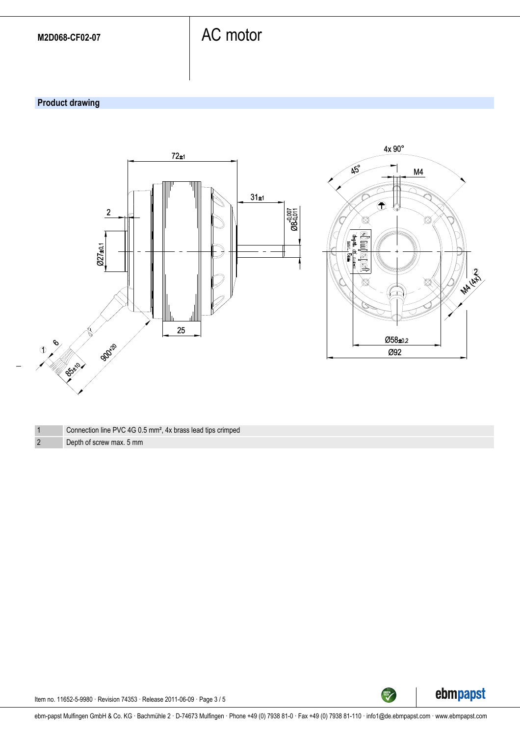### **Product drawing**



| Connection line PVC 4G 0.5 mm <sup>2</sup> , 4x brass lead tips crimped |  |
|-------------------------------------------------------------------------|--|
|                                                                         |  |

2 Depth of screw max. 5 mm



TECH

Item no. 11652-5-9980 · Revision 74353 · Release 2011-06-09 · Page 3 / 5

ebm-papst Mulfingen GmbH & Co. KG · Bachmühle 2 · D-74673 Mulfingen · Phone +49 (0) 7938 81-0 · Fax +49 (0) 7938 81-110 · info1@de.ebmpapst.com · www.ebmpapst.com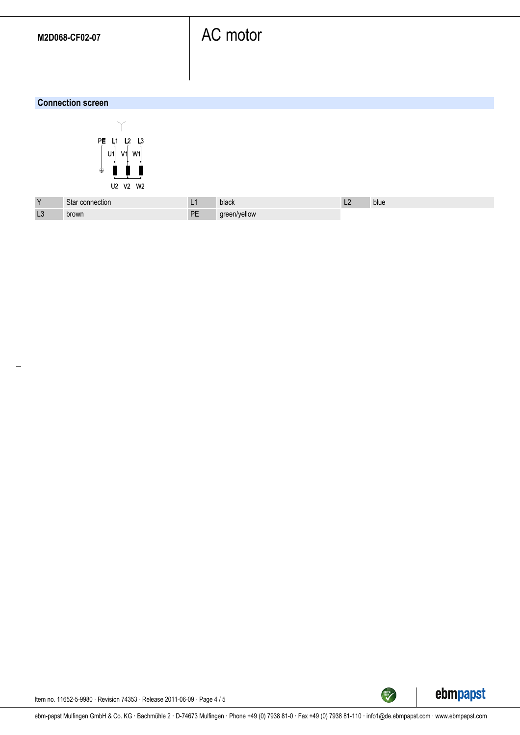#### **Connection screen**



| $\vee$ | Star connection |          | black        | └ | blue |
|--------|-----------------|----------|--------------|---|------|
| L3     | brown           | DE<br>-- | green/yellow |   |      |



Item no. 11652-5-9980 · Revision 74353 · Release 2011-06-09 · Page 4 / 5